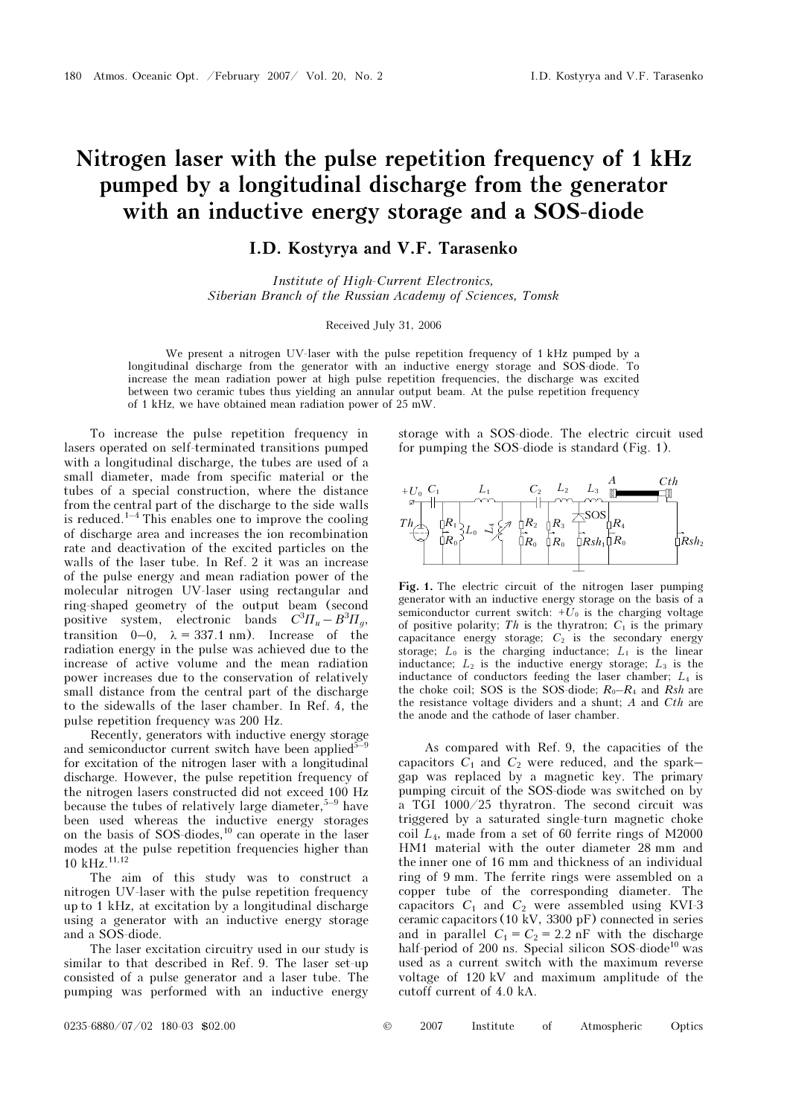# Nitrogen laser with the pulse repetition frequency of 1 kHz pumped by a longitudinal discharge from the generator with an inductive energy storage and a SOS-diode

# I.D. Kostyrya and V.F. Tarasenko

Institute of High-Current Electronics, Siberian Branch of the Russian Academy of Sciences, Tomsk

#### Received July 31, 2006

We present a nitrogen UV-laser with the pulse repetition frequency of 1 kHz pumped by a longitudinal discharge from the generator with an inductive energy storage and SOS-diode. To increase the mean radiation power at high pulse repetition frequencies, the discharge was excited between two ceramic tubes thus yielding an annular output beam. At the pulse repetition frequency of 1 kHz, we have obtained mean radiation power of 25 mW.

To increase the pulse repetition frequency in lasers operated on self-terminated transitions pumped with a longitudinal discharge, the tubes are used of a small diameter, made from specific material or the tubes of a special construction, where the distance from the central part of the discharge to the side walls is reduced.<sup>1–4</sup> This enables one to improve the cooling of discharge area and increases the ion recombination rate and deactivation of the excited particles on the walls of the laser tube. In Ref. 2 it was an increase of the pulse energy and mean radiation power of the molecular nitrogen UV-laser using rectangular and ring-shaped geometry of the output beam (second positive system, electronic bands  $C^3\Pi_u - B^3\Pi_g$ , transition  $0-0$ ,  $\lambda = 337.1$  nm). Increase of the radiation energy in the pulse was achieved due to the increase of active volume and the mean radiation power increases due to the conservation of relatively small distance from the central part of the discharge to the sidewalls of the laser chamber. In Ref. 4, the pulse repetition frequency was 200 Hz.

Recently, generators with inductive energy storage and semiconductor current switch have been applied $5-9$ for excitation of the nitrogen laser with a longitudinal discharge. However, the pulse repetition frequency of the nitrogen lasers constructed did not exceed 100 Hz because the tubes of relatively large diameter,<sup>5-9</sup> have been used whereas the inductive energy storages on the basis of SOS-diodes,<sup>10</sup> can operate in the laser modes at the pulse repetition frequencies higher than 10 kHz.<sup>11,12</sup>

The aim of this study was to construct a nitrogen UV-laser with the pulse repetition frequency up to 1 kHz, at excitation by a longitudinal discharge using a generator with an inductive energy storage and a SOS-diode.

The laser excitation circuitry used in our study is similar to that described in Ref. 9. The laser set-up consisted of a pulse generator and a laser tube. The pumping was performed with an inductive energy storage with a SOS-diode. The electric circuit used for pumping the SOS-diode is standard (Fig. 1).



Fig. 1. The electric circuit of the nitrogen laser pumping generator with an inductive energy storage on the basis of a semiconductor current switch:  $+U_0$  is the charging voltage of positive polarity; Th is the thyratron;  $C_1$  is the primary capacitance energy storage;  $C_2$  is the secondary energy storage;  $L_0$  is the charging inductance;  $L_1$  is the linear inductance;  $L_2$  is the inductive energy storage;  $L_3$  is the inductance of conductors feeding the laser chamber;  $L_4$  is the choke coil; SOS is the SOS-diode;  $R_0-R_4$  and Rsh are the resistance voltage dividers and a shunt; A and Cth are the anode and the cathode of laser chamber.

As compared with Ref. 9, the capacities of the capacitors  $C_1$  and  $C_2$  were reduced, and the spark– gap was replaced by a magnetic key. The primary pumping circuit of the SOS-diode was switched on by a TGI 1000/25 thyratron. The second circuit was triggered by a saturated single-turn magnetic choke coil  $L_4$ , made from a set of 60 ferrite rings of M2000 HM1 material with the outer diameter 28 mm and the inner one of 16 mm and thickness of an individual ring of 9 mm. The ferrite rings were assembled on a copper tube of the corresponding diameter. The capacitors  $C_1$  and  $C_2$  were assembled using KVI-3 ceramic capacitors (10 kV, 3300 pF) connected in series and in parallel  $C_1 = C_2 = 2.2$  nF with the discharge half-period of 200 ns. Special silicon SOS-diode<sup>10</sup> was used as a current switch with the maximum reverse voltage of 120 kV and maximum amplitude of the cutoff current of 4.0 kA.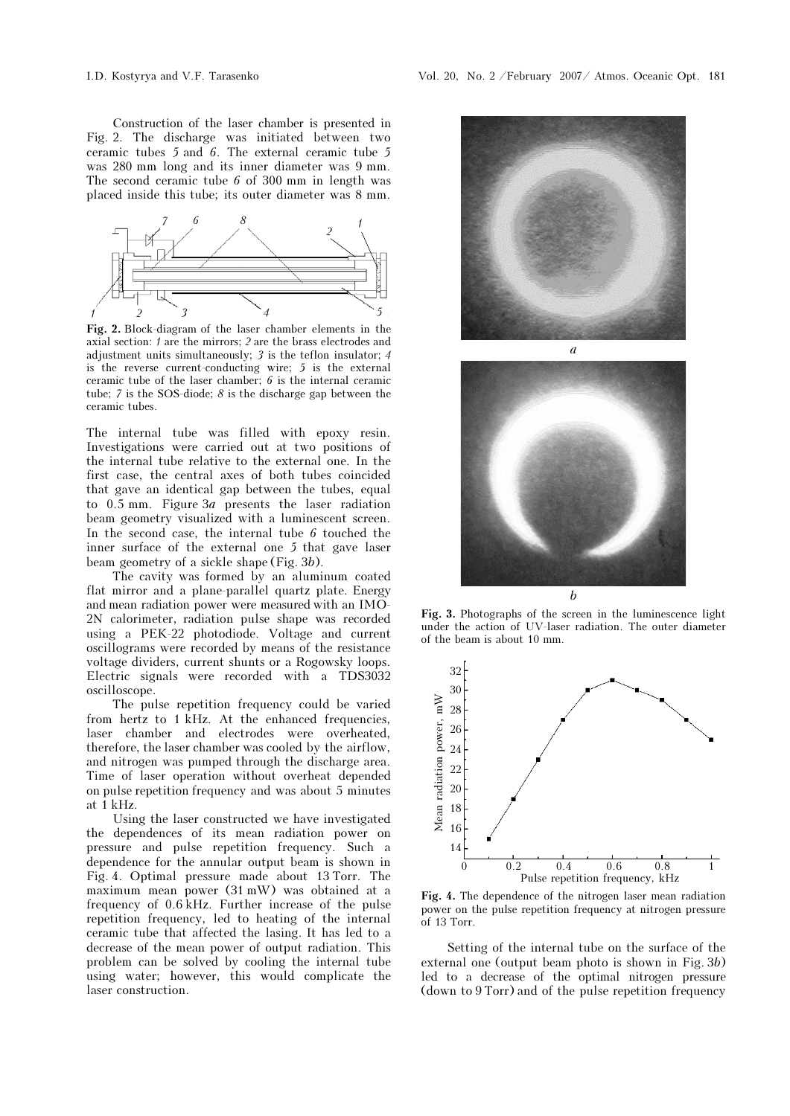Construction of the laser chamber is presented in Fig. 2. The discharge was initiated between two ceramic tubes 5 and 6. The external ceramic tube 5 was 280 mm long and its inner diameter was 9 mm. The second ceramic tube 6 of 300 mm in length was placed inside this tube; its outer diameter was 8 mm.



Fig. 2. Block-diagram of the laser chamber elements in the axial section: 1 are the mirrors; 2 are the brass electrodes and adjustment units simultaneously; 3 is the teflon insulator; 4 is the reverse current-conducting wire; 5 is the external ceramic tube of the laser chamber; 6 is the internal ceramic tube; 7 is the SOS-diode; 8 is the discharge gap between the ceramic tubes.

The internal tube was filled with epoxy resin. Investigations were carried out at two positions of the internal tube relative to the external one. In the first case, the central axes of both tubes coincided that gave an identical gap between the tubes, equal to  $0.5$  mm. Figure  $3a$  presents the laser radiation beam geometry visualized with a luminescent screen. In the second case, the internal tube 6 touched the inner surface of the external one 5 that gave laser beam geometry of a sickle shape (Fig. 3b).

The cavity was formed by an aluminum coated flat mirror and a plane-parallel quartz plate. Energy and mean radiation power were measured with an IMO-2N calorimeter, radiation pulse shape was recorded using a PEK-22 photodiode. Voltage and current oscillograms were recorded by means of the resistance voltage dividers, current shunts or a Rogowsky loops. Electric signals were recorded with a TDS3032 oscilloscope.

The pulse repetition frequency could be varied from hertz to 1 kHz. At the enhanced frequencies, laser chamber and electrodes were overheated, therefore, the laser chamber was cooled by the airflow, and nitrogen was pumped through the discharge area. Time of laser operation without overheat depended on pulse repetition frequency and was about 5 minutes at 1 kHz.

Using the laser constructed we have investigated the dependences of its mean radiation power on pressure and pulse repetition frequency. Such a dependence for the annular output beam is shown in Fig. 4. Optimal pressure made about 13 Torr. The maximum mean power (31 mW) was obtained at a frequency of 0.6 kHz. Further increase of the pulse repetition frequency, led to heating of the internal ceramic tube that affected the lasing. It has led to a decrease of the mean power of output radiation. This problem can be solved by cooling the internal tube using water; however, this would complicate the laser construction.





Fig. 3. Photographs of the screen in the luminescence light under the action of UV-laser radiation. The outer diameter of the beam is about 10 mm.



Fig. 4. The dependence of the nitrogen laser mean radiation power on the pulse repetition frequency at nitrogen pressure of 13 Torr.

Setting of the internal tube on the surface of the external one (output beam photo is shown in Fig. 3b) led to a decrease of the optimal nitrogen pressure (down to 9 Torr) and of the pulse repetition frequency